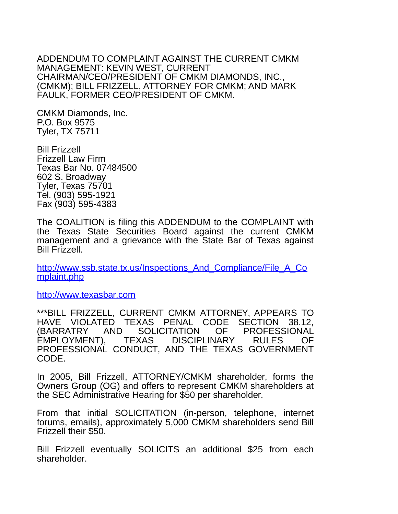ADDENDUM TO COMPLAINT AGAINST THE CURRENT CMKM MANAGEMENT: KEVIN WEST, CURRENT CHAIRMAN/CEO/PRESIDENT OF CMKM DIAMONDS, INC., (CMKM); BILL FRIZZELL, ATTORNEY FOR CMKM; AND MARK FAULK, FORMER CEO/PRESIDENT OF CMKM.

CMKM Diamonds, Inc. P.O. Box 9575 Tyler, TX 75711

Bill Frizzell Frizzell Law Firm Texas Bar No. 07484500 602 S. Broadway Tyler, Texas 75701 Tel. (903) 595-1921 Fax (903) 595-4383

The COALITION is filing this ADDENDUM to the COMPLAINT with the Texas State Securities Board against the current CMKM management and a grievance with the State Bar of Texas against Bill Frizzell.

[http://www.ssb.state.tx.us/Inspections\\_And\\_Compliance/File\\_A\\_Co](http://www.ssb.state.tx.us/Inspections_And_Compliance/File_A_Complaint.php) [mplaint.php](http://www.ssb.state.tx.us/Inspections_And_Compliance/File_A_Complaint.php)

[http://www.texasbar.com](http://www.texasbar.com/)

\*\*\*BILL FRIZZELL, CURRENT CMKM ATTORNEY, APPEARS TO HAVE VIOLATED TEXAS PENAL CODE SECTION 38.12, (BARRATRY AND SOLICITATION OF PROFESSIONAL<br>EMPLOYMENT). TEXAS DISCIPLINARY RULES OF EMPLOYMENT), TEXAS DISCIPLINARY RULES OF PROFESSIONAL CONDUCT, AND THE TEXAS GOVERNMENT CODE.

In 2005, Bill Frizzell, ATTORNEY/CMKM shareholder, forms the Owners Group (OG) and offers to represent CMKM shareholders at the SEC Administrative Hearing for \$50 per shareholder.

From that initial SOLICITATION (in-person, telephone, internet forums, emails), approximately 5,000 CMKM shareholders send Bill Frizzell their \$50.

Bill Frizzell eventually SOLICITS an additional \$25 from each shareholder.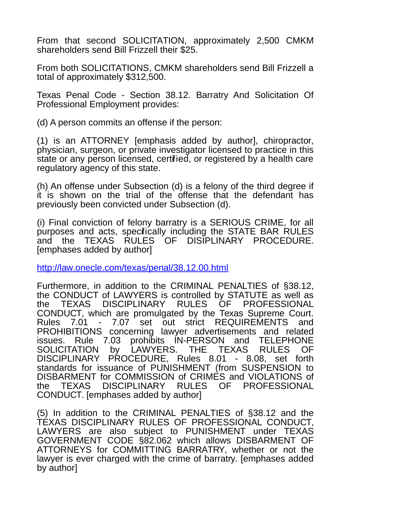From that second SOLICITATION, approximately 2,500 CMKM shareholders send Bill Frizzell their \$25.

From both SOLICITATIONS, CMKM shareholders send Bill Frizzell a total of approximately \$312,500.

Texas Penal Code - Section 38.12. Barratry And Solicitation Of Professional Employment provides:

(d) A person commits an offense if the person:

(1) is an ATTORNEY [emphasis added by author], chiropractor, physician, surgeon, or private investigator licensed to practice in this state or any person licensed, certified, or registered by a health care regulatory agency of this state.

(h) An offense under Subsection (d) is a felony of the third degree if it is shown on the trial of the offense that the defendant has previously been convicted under Subsection (d).

(i) Final conviction of felony barratry is a SERIOUS CRIME, for all purposes and acts, specifically including the STATE BAR RULES and the TEXAS RULES OF DISIPLINARY PROCEDURE. [emphases added by author]

<http://law.onecle.com/texas/penal/38.12.00.html>

Furthermore, in addition to the CRIMINAL PENALTIES of §38.12, the CONDUCT of LAWYERS is controlled by STATUTE as well as the TEXAS DISCIPLINARY RULES OF PROFESSIONAL CONDUCT, which are promulgated by the Texas Supreme Court. Rules 7.01 - 7.07 set out strict REQUIREMENTS and PROHIBITIONS concerning lawyer advertisements and related issues. Rule 7.03 prohibits IN-PERSON and TELEPHONE SOLICITATION by LAWYERS. THE TEXAS RULES OF DISCIPLINARY PROCEDURE, Rules 8.01 - 8.08, set forth standards for issuance of PUNISHMENT (from SUSPENSION to DISBARMENT for COMMISSION of CRIMES and VIOLATIONS of the TEXAS DISCIPLINARY RULES OF PROFESSIONAL CONDUCT. [emphases added by author]

(5) In addition to the CRIMINAL PENALTIES of §38.12 and the TEXAS DISCIPLINARY RULES OF PROFESSIONAL CONDUCT, LAWYERS are also subject to PUNISHMENT under TEXAS GOVERNMENT CODE §82.062 which allows DISBARMENT OF ATTORNEYS for COMMITTING BARRATRY, whether or not the lawyer is ever charged with the crime of barratry. [emphases added by author]